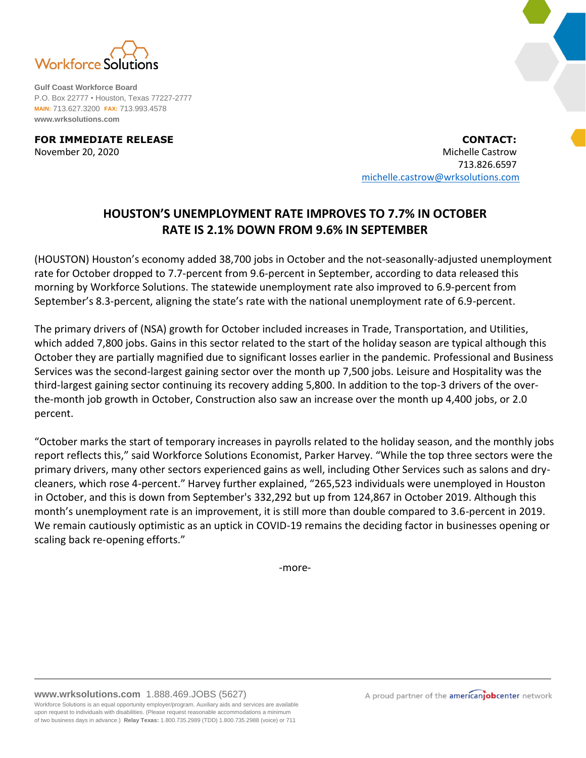

**Gulf Coast Workforce Board** P.O. Box 22777 • Houston, Texas 77227-2777 **MAIN:** 713.627.3200 **FAX:** 713.993.4578 **www.wrksolutions.com**

**FOR IMMEDIATE RELEASE CONTACT:** November 20, 2020 Michelle Castrow 713.826.6597 [michelle.castrow@wrksolutions.com](mailto:michelle.castrow@wrksolutions.com)

## **HOUSTON'S UNEMPLOYMENT RATE IMPROVES TO 7.7% IN OCTOBER RATE IS 2.1% DOWN FROM 9.6% IN SEPTEMBER**

(HOUSTON) Houston's economy added 38,700 jobs in October and the not-seasonally-adjusted unemployment rate for October dropped to 7.7-percent from 9.6-percent in September, according to data released this morning by Workforce Solutions. The statewide unemployment rate also improved to 6.9-percent from September's 8.3-percent, aligning the state's rate with the national unemployment rate of 6.9-percent.

The primary drivers of (NSA) growth for October included increases in Trade, Transportation, and Utilities, which added 7,800 jobs. Gains in this sector related to the start of the holiday season are typical although this October they are partially magnified due to significant losses earlier in the pandemic. Professional and Business Services was the second-largest gaining sector over the month up 7,500 jobs. Leisure and Hospitality was the third-largest gaining sector continuing its recovery adding 5,800. In addition to the top-3 drivers of the overthe-month job growth in October, Construction also saw an increase over the month up 4,400 jobs, or 2.0 percent.

"October marks the start of temporary increases in payrolls related to the holiday season, and the monthly jobs report reflects this," said Workforce Solutions Economist, Parker Harvey. "While the top three sectors were the primary drivers, many other sectors experienced gains as well, including Other Services such as salons and drycleaners, which rose 4-percent." Harvey further explained, "265,523 individuals were unemployed in Houston in October, and this is down from September's 332,292 but up from 124,867 in October 2019. Although this month's unemployment rate is an improvement, it is still more than double compared to 3.6-percent in 2019. We remain cautiously optimistic as an uptick in COVID-19 remains the deciding factor in businesses opening or scaling back re-opening efforts."

-more-